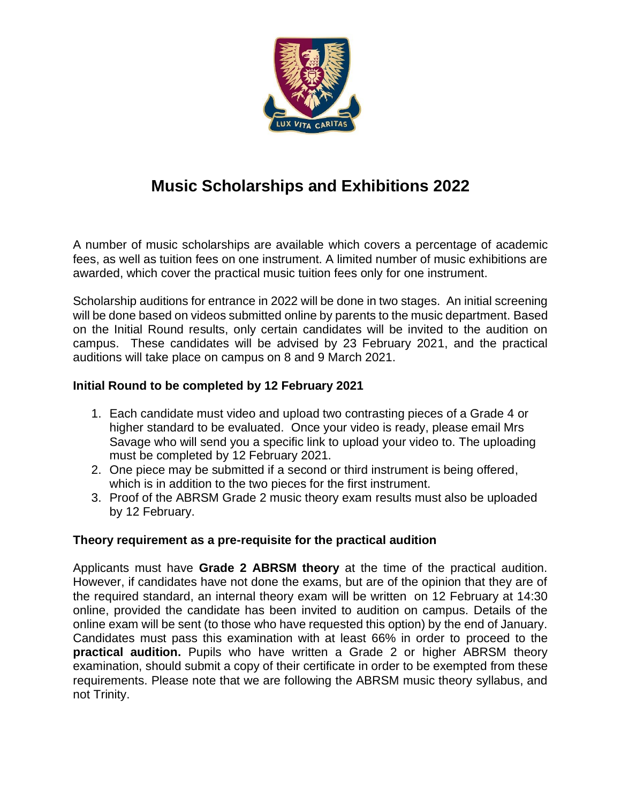

## **Music Scholarships and Exhibitions 2022**

A number of music scholarships are available which covers a percentage of academic fees, as well as tuition fees on one instrument. A limited number of music exhibitions are awarded, which cover the practical music tuition fees only for one instrument.

Scholarship auditions for entrance in 2022 will be done in two stages. An initial screening will be done based on videos submitted online by parents to the music department. Based on the Initial Round results, only certain candidates will be invited to the audition on campus. These candidates will be advised by 23 February 2021, and the practical auditions will take place on campus on 8 and 9 March 2021.

## **Initial Round to be completed by 12 February 2021**

- 1. Each candidate must video and upload two contrasting pieces of a Grade 4 or higher standard to be evaluated. Once your video is ready, please email Mrs Savage who will send you a specific link to upload your video to. The uploading must be completed by 12 February 2021.
- 2. One piece may be submitted if a second or third instrument is being offered, which is in addition to the two pieces for the first instrument.
- 3. Proof of the ABRSM Grade 2 music theory exam results must also be uploaded by 12 February.

## **Theory requirement as a pre-requisite for the practical audition**

Applicants must have **Grade 2 ABRSM theory** at the time of the practical audition. However, if candidates have not done the exams, but are of the opinion that they are of the required standard, an internal theory exam will be written on 12 February at 14:30 online, provided the candidate has been invited to audition on campus. Details of the online exam will be sent (to those who have requested this option) by the end of January. Candidates must pass this examination with at least 66% in order to proceed to the **practical audition.** Pupils who have written a Grade 2 or higher ABRSM theory examination, should submit a copy of their certificate in order to be exempted from these requirements. Please note that we are following the ABRSM music theory syllabus, and not Trinity.